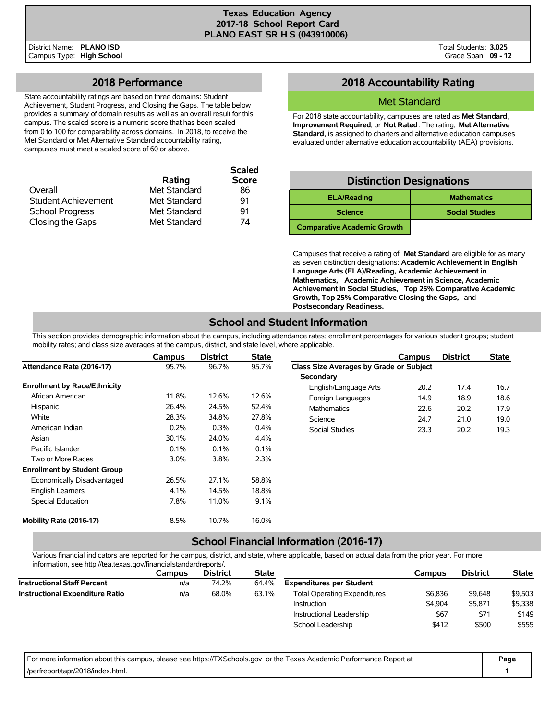## **2018 Performance**

State accountability ratings are based on three domains: Student Achievement, Student Progress, and Closing the Gaps. The table below provides a summary of domain results as well as an overall result for this campus. The scaled score is a numeric score that has been scaled from 0 to 100 for comparability across domains. In 2018, to receive the Met Standard or Met Alternative Standard accountability rating, campuses must meet a scaled score of 60 or above.

|                            |              | <b>Scaled</b> |
|----------------------------|--------------|---------------|
|                            | Rating       | <b>Score</b>  |
| Overall                    | Met Standard | 86            |
| <b>Student Achievement</b> | Met Standard | 91            |
| <b>School Progress</b>     | Met Standard | 91            |
| Closing the Gaps           | Met Standard | 74            |

## **2018 Accountability Rating**

#### Met Standard

For 2018 state accountability, campuses are rated as **Met Standard**, **Improvement Required**, or **Not Rated**. The rating, **Met Alternative Standard**, is assigned to charters and alternative education campuses evaluated under alternative education accountability (AEA) provisions.

| <b>Distinction Designations</b>    |                       |  |  |  |  |  |  |  |
|------------------------------------|-----------------------|--|--|--|--|--|--|--|
| <b>ELA/Reading</b>                 | <b>Mathematics</b>    |  |  |  |  |  |  |  |
| <b>Science</b>                     | <b>Social Studies</b> |  |  |  |  |  |  |  |
| <b>Comparative Academic Growth</b> |                       |  |  |  |  |  |  |  |

Campuses that receive a rating of **Met Standard** are eligible for as many as seven distinction designations: **Academic Achievement in English Language Arts (ELA)/Reading, Academic Achievement in Mathematics, Academic Achievement in Science, Academic Achievement in Social Studies, Top 25% Comparative Academic Growth, Top 25% Comparative Closing the Gaps,** and **Postsecondary Readiness.**

# **School and Student Information**

This section provides demographic information about the campus, including attendance rates; enrollment percentages for various student groups; student mobility rates; and class size averages at the campus, district, and state level, where applicable.

|                                     | Campus  | <b>District</b> | <b>State</b> |                                                | Campus | <b>District</b> | <b>State</b> |
|-------------------------------------|---------|-----------------|--------------|------------------------------------------------|--------|-----------------|--------------|
| Attendance Rate (2016-17)           | 95.7%   | 96.7%           | 95.7%        | <b>Class Size Averages by Grade or Subject</b> |        |                 |              |
|                                     |         |                 |              | Secondary                                      |        |                 |              |
| <b>Enrollment by Race/Ethnicity</b> |         |                 |              | English/Language Arts                          | 20.2   | 17.4            | 16.7         |
| African American                    | 11.8%   | 12.6%           | 12.6%        | Foreign Languages                              | 14.9   | 18.9            | 18.6         |
| Hispanic                            | 26.4%   | 24.5%           | 52.4%        | Mathematics                                    | 22.6   | 20.2            | 17.9         |
| White                               | 28.3%   | 34.8%           | 27.8%        | Science                                        | 24.7   | 21.0            | 19.0         |
| American Indian                     | 0.2%    | 0.3%            | 0.4%         | Social Studies                                 | 23.3   | 20.2            | 19.3         |
| Asian                               | 30.1%   | 24.0%           | 4.4%         |                                                |        |                 |              |
| Pacific Islander                    | 0.1%    | 0.1%            | 0.1%         |                                                |        |                 |              |
| Two or More Races                   | $3.0\%$ | 3.8%            | 2.3%         |                                                |        |                 |              |
| <b>Enrollment by Student Group</b>  |         |                 |              |                                                |        |                 |              |
| Economically Disadvantaged          | 26.5%   | 27.1%           | 58.8%        |                                                |        |                 |              |
| <b>English Learners</b>             | 4.1%    | 14.5%           | 18.8%        |                                                |        |                 |              |
| Special Education                   | 7.8%    | 11.0%           | 9.1%         |                                                |        |                 |              |
| Mobility Rate (2016-17)             | 8.5%    | 10.7%           | 16.0%        |                                                |        |                 |              |

### **School Financial Information (2016-17)**

Various financial indicators are reported for the campus, district, and state, where applicable, based on actual data from the prior year. For more information, see http://tea.texas.gov/financialstandardreports/.

|                                        | <b>District</b><br><b>State</b><br>Campus |       | Campus | <b>District</b>                     | <b>State</b> |         |         |
|----------------------------------------|-------------------------------------------|-------|--------|-------------------------------------|--------------|---------|---------|
| <b>Instructional Staff Percent</b>     | n/a                                       | 74.2% | 64.4%  | <b>Expenditures per Student</b>     |              |         |         |
| <b>Instructional Expenditure Ratio</b> | n/a                                       | 68.0% | 63.1%  | <b>Total Operating Expenditures</b> | \$6,836      | \$9,648 | \$9,503 |
|                                        |                                           |       |        | Instruction                         | \$4.904      | \$5,871 | \$5,338 |
|                                        |                                           |       |        | Instructional Leadership            | \$67         | \$71    | \$149   |
|                                        |                                           |       |        | School Leadership                   | \$412        | \$500   | \$555   |

| For more information about this campus, please see https://TXSchools.gov or the Texas Academic Performance Report at | Page |
|----------------------------------------------------------------------------------------------------------------------|------|
| /perfreport/tapr/2018/index.html.                                                                                    |      |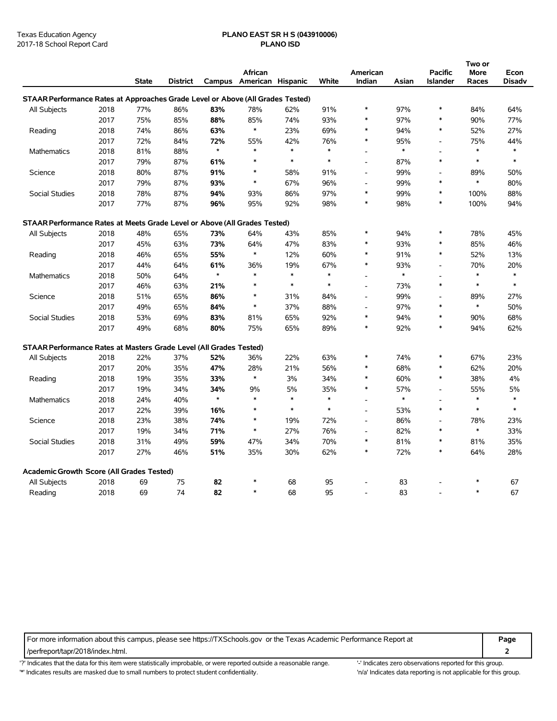# Texas Education Agency **PLANO EAST SR H S (043910006)**

|                                                                                |      |              |                 |         |                          |        |        |                          |        |                          | Two or |        |
|--------------------------------------------------------------------------------|------|--------------|-----------------|---------|--------------------------|--------|--------|--------------------------|--------|--------------------------|--------|--------|
|                                                                                |      |              |                 |         | African                  |        |        | American                 |        | <b>Pacific</b>           | More   | Econ   |
|                                                                                |      | <b>State</b> | <b>District</b> |         | Campus American Hispanic |        | White  | Indian                   | Asian  | <b>Islander</b>          | Races  | Disadv |
| STAAR Performance Rates at Approaches Grade Level or Above (All Grades Tested) |      |              |                 |         |                          |        |        |                          |        |                          |        |        |
| All Subjects                                                                   | 2018 | 77%          | 86%             | 83%     | 78%                      | 62%    | 91%    | $\ast$                   | 97%    | $\ast$                   | 84%    | 64%    |
|                                                                                | 2017 | 75%          | 85%             | 88%     | 85%                      | 74%    | 93%    | $\ast$                   | 97%    | $\ast$                   | 90%    | 77%    |
| Reading                                                                        | 2018 | 74%          | 86%             | 63%     | $\ast$                   | 23%    | 69%    | $\ast$                   | 94%    | $\ast$                   | 52%    | 27%    |
|                                                                                | 2017 | 72%          | 84%             | 72%     | 55%                      | 42%    | 76%    | $\ast$                   | 95%    | $\blacksquare$           | 75%    | 44%    |
| Mathematics                                                                    | 2018 | 81%          | 88%             | $\star$ | $\ast$                   | $\ast$ | $\ast$ | $\overline{a}$           | $\ast$ | $\overline{a}$           | $\ast$ | $\ast$ |
|                                                                                | 2017 | 79%          | 87%             | 61%     | $\ast$                   | $\ast$ | $\ast$ | $\overline{\phantom{a}}$ | 87%    | $\ast$                   | $\ast$ | $\ast$ |
| Science                                                                        | 2018 | 80%          | 87%             | 91%     | $\ast$                   | 58%    | 91%    | $\overline{\phantom{a}}$ | 99%    | $\overline{a}$           | 89%    | 50%    |
|                                                                                | 2017 | 79%          | 87%             | 93%     | $\ast$                   | 67%    | 96%    |                          | 99%    | $\ast$                   | $\ast$ | 80%    |
| Social Studies                                                                 | 2018 | 78%          | 87%             | 94%     | 93%                      | 86%    | 97%    | $\ast$                   | 99%    | $\ast$                   | 100%   | 88%    |
|                                                                                | 2017 | 77%          | 87%             | 96%     | 95%                      | 92%    | 98%    | *                        | 98%    | $\ast$                   | 100%   | 94%    |
| STAAR Performance Rates at Meets Grade Level or Above (All Grades Tested)      |      |              |                 |         |                          |        |        |                          |        |                          |        |        |
| All Subjects                                                                   | 2018 | 48%          | 65%             | 73%     | 64%                      | 43%    | 85%    | *                        | 94%    | $\ast$                   | 78%    | 45%    |
|                                                                                | 2017 | 45%          | 63%             | 73%     | 64%                      | 47%    | 83%    | $\ast$                   | 93%    | $\ast$                   | 85%    | 46%    |
| 2018<br>Reading                                                                |      | 46%          | 65%             | 55%     | $\ast$                   | 12%    | 60%    | $\ast$                   | 91%    | $\ast$                   | 52%    | 13%    |
|                                                                                | 2017 | 44%          | 64%             | 61%     | 36%                      | 19%    | 67%    | $\ast$                   | 93%    | $\overline{a}$           | 70%    | 20%    |
| Mathematics                                                                    | 2018 | 50%          | 64%             | $\star$ | $\ast$                   | $\ast$ | $\ast$ | $\overline{a}$           | $\ast$ | $\overline{a}$           | $\ast$ | $\ast$ |
|                                                                                | 2017 | 46%          | 63%             | 21%     | $\ast$                   | $\ast$ | $\ast$ | $\overline{a}$           | 73%    | $\ast$                   | $\ast$ | $\ast$ |
| Science                                                                        | 2018 | 51%          | 65%             | 86%     | $\ast$                   | 31%    | 84%    | $\overline{\phantom{a}}$ | 99%    | $\overline{\phantom{a}}$ | 89%    | 27%    |
|                                                                                | 2017 | 49%          | 65%             | 84%     | $\ast$                   | 37%    | 88%    |                          | 97%    | $\ast$                   | $\ast$ | 50%    |
| Social Studies                                                                 | 2018 | 53%          | 69%             | 83%     | 81%                      | 65%    | 92%    | $\ast$                   | 94%    | $\ast$                   | 90%    | 68%    |
|                                                                                | 2017 | 49%          | 68%             | 80%     | 75%                      | 65%    | 89%    | *                        | 92%    | $\ast$                   | 94%    | 62%    |
| STAAR Performance Rates at Masters Grade Level (All Grades Tested)             |      |              |                 |         |                          |        |        |                          |        |                          |        |        |
| All Subjects                                                                   | 2018 | 22%          | 37%             | 52%     | 36%                      | 22%    | 63%    | *                        | 74%    | $\ast$                   | 67%    | 23%    |
|                                                                                | 2017 | 20%          | 35%             | 47%     | 28%                      | 21%    | 56%    | *                        | 68%    | $\ast$                   | 62%    | 20%    |
| Reading                                                                        | 2018 | 19%          | 35%             | 33%     | $\ast$                   | 3%     | 34%    | *                        | 60%    | $\ast$                   | 38%    | 4%     |
|                                                                                | 2017 | 19%          | 34%             | 34%     | 9%                       | 5%     | 35%    | $\ast$                   | 57%    | $\overline{a}$           | 55%    | 5%     |
| Mathematics                                                                    | 2018 | 24%          | 40%             | $\star$ | $\ast$                   | $\ast$ | $\ast$ |                          | $\ast$ | L,                       | $\ast$ | $\ast$ |
|                                                                                | 2017 | 22%          | 39%             | 16%     | $\ast$                   | $\ast$ | $\ast$ | $\overline{\phantom{a}}$ | 53%    | $\ast$                   | $\ast$ | $\ast$ |
| Science                                                                        | 2018 | 23%          | 38%             | 74%     | $\ast$                   | 19%    | 72%    | $\overline{a}$           | 86%    | $\overline{\phantom{a}}$ | 78%    | 23%    |
|                                                                                | 2017 | 19%          | 34%             | 71%     | $\ast$                   | 27%    | 76%    | $\overline{\phantom{a}}$ | 82%    | $\ast$                   | $\ast$ | 33%    |
| Social Studies                                                                 | 2018 | 31%          | 49%             | 59%     | 47%                      | 34%    | 70%    | ∗                        | 81%    | $\ast$                   | 81%    | 35%    |
|                                                                                | 2017 | 27%          | 46%             | 51%     | 35%                      | 30%    | 62%    | $\ast$                   | 72%    | $\ast$                   | 64%    | 28%    |
| <b>Academic Growth Score (All Grades Tested)</b>                               |      |              |                 |         |                          |        |        |                          |        |                          |        |        |
| All Subjects                                                                   | 2018 | 69           | 75              | 82      | $\ast$                   | 68     | 95     |                          | 83     |                          | $\ast$ | 67     |
| Reading                                                                        | 2018 | 69           | 74              | 82      | $\ast$                   | 68     | 95     |                          | 83     |                          | $\ast$ | 67     |

For more information about this campus, please see https://TXSchools.gov or the Texas Academic Performance Report at **Page**

/perfreport/tapr/2018/index.html. **2**

'?' Indicates that the data for this item were statistically improbable, or were reported outside a reasonable range. '' Indicates zero observations reported for this group. '\*' Indicates results are masked due to small numbers to protect student confidentiality. Moreover, the this discussed at a reporting is not applicable for this group.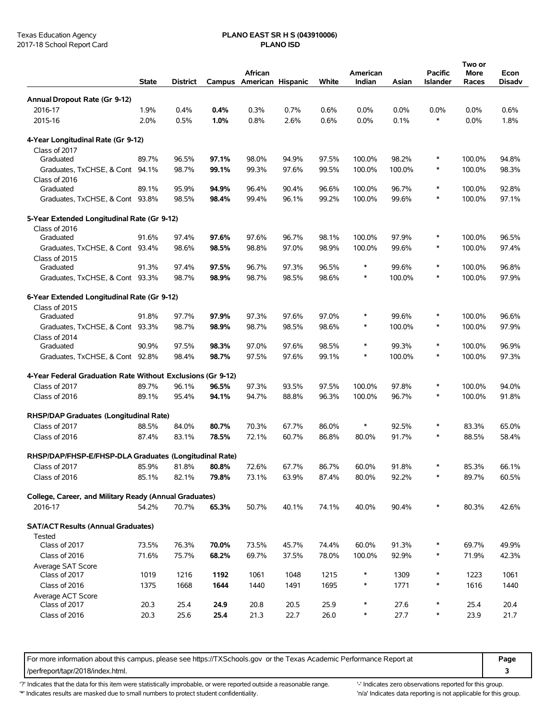# Texas Education Agency **PLANO EAST SR H S (043910006)**

|                                                                         | <b>State</b>   | <b>District</b> |                | African<br>Campus American Hispanic |                | White          | American<br>Indian | Asian          | Pacific<br>Islander | Two or<br>More<br>Races | Econ<br><b>Disadv</b> |
|-------------------------------------------------------------------------|----------------|-----------------|----------------|-------------------------------------|----------------|----------------|--------------------|----------------|---------------------|-------------------------|-----------------------|
| Annual Dropout Rate (Gr 9-12)                                           |                |                 |                |                                     |                |                |                    |                |                     |                         |                       |
| 2016-17                                                                 | 1.9%           | 0.4%            | 0.4%           | 0.3%                                | 0.7%           | 0.6%           | $0.0\%$            | 0.0%           | 0.0%                | 0.0%                    | 0.6%                  |
| 2015-16                                                                 | 2.0%           | 0.5%            | 1.0%           | 0.8%                                | 2.6%           | 0.6%           | 0.0%               | 0.1%           | $\ast$              | 0.0%                    | 1.8%                  |
| 4-Year Longitudinal Rate (Gr 9-12)                                      |                |                 |                |                                     |                |                |                    |                |                     |                         |                       |
| Class of 2017                                                           |                |                 |                |                                     |                |                |                    |                |                     |                         |                       |
| Graduated                                                               | 89.7%          | 96.5%           | 97.1%          | 98.0%                               | 94.9%          | 97.5%          | 100.0%             | 98.2%          | ∗                   | 100.0%                  | 94.8%                 |
| Graduates, TxCHSE, & Cont 94.1%                                         |                | 98.7%           | 99.1%          | 99.3%                               | 97.6%          | 99.5%          | 100.0%             | 100.0%         | $\ast$              | 100.0%                  | 98.3%                 |
| Class of 2016                                                           |                |                 |                |                                     |                |                |                    |                |                     |                         |                       |
| Graduated                                                               | 89.1%          | 95.9%           | 94.9%          | 96.4%                               | 90.4%          | 96.6%          | 100.0%             | 96.7%          | $\ast$              | 100.0%                  | 92.8%                 |
| Graduates, TxCHSE, & Cont 93.8%                                         |                | 98.5%           | 98.4%          | 99.4%                               | 96.1%          | 99.2%          | 100.0%             | 99.6%          | $\ast$              | 100.0%                  | 97.1%                 |
| 5-Year Extended Longitudinal Rate (Gr 9-12)                             |                |                 |                |                                     |                |                |                    |                |                     |                         |                       |
| Class of 2016                                                           |                |                 |                |                                     |                |                | 100.0%             |                | $\ast$              |                         | 96.5%                 |
| Graduated                                                               | 91.6%          | 97.4%           | 97.6%          | 97.6%                               | 96.7%          | 98.1%          |                    | 97.9%          | $\ast$              | 100.0%                  |                       |
| Graduates, TxCHSE, & Cont<br>Class of 2015                              | 93.4%          | 98.6%           | 98.5%          | 98.8%                               | 97.0%          | 98.9%          | 100.0%             | 99.6%          |                     | 100.0%                  | 97.4%                 |
| Graduated                                                               | 91.3%          | 97.4%           | 97.5%          | 96.7%                               | 97.3%          | 96.5%          | ∗                  | 99.6%          | $\ast$              | 100.0%                  | 96.8%                 |
| Graduates, TxCHSE, & Cont 93.3%                                         |                | 98.7%           | 98.9%          | 98.7%                               | 98.5%          | 98.6%          | $\ast$             | 100.0%         | $\ast$              | 100.0%                  | 97.9%                 |
|                                                                         |                |                 |                |                                     |                |                |                    |                |                     |                         |                       |
| 6-Year Extended Longitudinal Rate (Gr 9-12)<br>Class of 2015            |                |                 |                |                                     |                |                |                    |                |                     |                         |                       |
| Graduated                                                               | 91.8%          | 97.7%           | 97.9%          | 97.3%                               | 97.6%          | 97.0%          | ∗                  | 99.6%          | $\ast$              | 100.0%                  | 96.6%                 |
| Graduates, TxCHSE, & Cont 93.3%                                         |                | 98.7%           | 98.9%          | 98.7%                               | 98.5%          | 98.6%          | $\ast$             | 100.0%         | $\ast$              | 100.0%                  | 97.9%                 |
| Class of 2014                                                           |                |                 |                |                                     |                |                |                    |                |                     |                         |                       |
| Graduated                                                               | 90.9%          | 97.5%           | 98.3%          | 97.0%                               | 97.6%          | 98.5%          | ∗                  | 99.3%          | $\ast$              | 100.0%                  | 96.9%                 |
| Graduates, TxCHSE, & Cont 92.8%                                         |                | 98.4%           | 98.7%          | 97.5%                               | 97.6%          | 99.1%          | $\ast$             | 100.0%         | $\ast$              | 100.0%                  | 97.3%                 |
| 4-Year Federal Graduation Rate Without Exclusions (Gr 9-12)             |                |                 |                |                                     |                |                |                    |                |                     |                         |                       |
| Class of 2017                                                           | 89.7%          | 96.1%           | 96.5%          | 97.3%                               | 93.5%          | 97.5%          | 100.0%             | 97.8%          | $\ast$              | 100.0%                  | 94.0%                 |
| Class of 2016                                                           | 89.1%          | 95.4%           | 94.1%          | 94.7%                               | 88.8%          | 96.3%          | 100.0%             | 96.7%          | ∗                   | 100.0%                  | 91.8%                 |
| RHSP/DAP Graduates (Longitudinal Rate)                                  |                |                 |                |                                     |                |                |                    |                |                     |                         |                       |
| Class of 2017                                                           | 88.5%          | 84.0%           | 80.7%          | 70.3%                               | 67.7%          | 86.0%          | $\ast$             | 92.5%          | $\ast$              | 83.3%                   | 65.0%                 |
| Class of 2016                                                           | 87.4%          | 83.1%           | 78.5%          | 72.1%                               | 60.7%          | 86.8%          | 80.0%              | 91.7%          | $\ast$              | 88.5%                   | 58.4%                 |
|                                                                         |                |                 |                |                                     |                |                |                    |                |                     |                         |                       |
| RHSP/DAP/FHSP-E/FHSP-DLA Graduates (Longitudinal Rate)<br>Class of 2017 | 85.9%          | 81.8%           | 80.8%          | 72.6%                               | 67.7%          | 86.7%          | 60.0%              | 91.8%          |                     | 85.3%                   | 66.1%                 |
| Class of 2016                                                           | 85.1%          | 82.1%           | 79.8%          | 73.1%                               | 63.9%          | 87.4%          | 80.0%              | 92.2%          | ∗                   | 89.7%                   | 60.5%                 |
|                                                                         |                |                 |                |                                     |                |                |                    |                |                     |                         |                       |
| College, Career, and Military Ready (Annual Graduates)                  |                |                 |                |                                     |                |                |                    |                |                     |                         |                       |
| 2016-17                                                                 | 54.2%          | 70.7%           | 65.3%          | 50.7%                               | 40.1%          | 74.1%          | 40.0%              | 90.4%          | $\ast$              | 80.3%                   | 42.6%                 |
| <b>SAT/ACT Results (Annual Graduates)</b>                               |                |                 |                |                                     |                |                |                    |                |                     |                         |                       |
| Tested                                                                  |                |                 |                |                                     |                |                |                    |                | $\ast$              |                         |                       |
| Class of 2017<br>Class of 2016                                          | 73.5%<br>71.6% | 76.3%<br>75.7%  | 70.0%<br>68.2% | 73.5%<br>69.7%                      | 45.7%<br>37.5% | 74.4%<br>78.0% | 60.0%<br>100.0%    | 91.3%<br>92.9% | $\ast$              | 69.7%<br>71.9%          | 49.9%<br>42.3%        |
|                                                                         |                |                 |                |                                     |                |                |                    |                |                     |                         |                       |
| Average SAT Score<br>Class of 2017                                      | 1019           | 1216            | 1192           | 1061                                | 1048           | 1215           | ∗                  | 1309           | $\ast$              | 1223                    | 1061                  |
| Class of 2016                                                           | 1375           | 1668            | 1644           | 1440                                | 1491           | 1695           | ∗                  | 1771           | $\ast$              | 1616                    | 1440                  |
| Average ACT Score                                                       |                |                 |                |                                     |                |                |                    |                |                     |                         |                       |
| Class of 2017                                                           | 20.3           | 25.4            | 24.9           | 20.8                                | 20.5           | 25.9           | $\ast$             | 27.6           | ∗                   | 25.4                    | 20.4                  |
| Class of 2016                                                           | 20.3           | 25.6            | 25.4           | 21.3                                | 22.7           | 26.0           | ∗                  | 27.7           | ∗                   | 23.9                    | 21.7                  |
|                                                                         |                |                 |                |                                     |                |                |                    |                |                     |                         |                       |

For more information about this campus, please see https://TXSchools.gov or the Texas Academic Performance Report at **Page** /perfreport/tapr/2018/index.html. **3**

'?' Indicates that the data for this item were statistically improbable, or were reported outside a reasonable range. "Indicates zero observations reported for this group.

'\*' Indicates results are masked due to small numbers to protect student confidentiality. 
"n/a' Indicates data reporting is not applicable for this group.